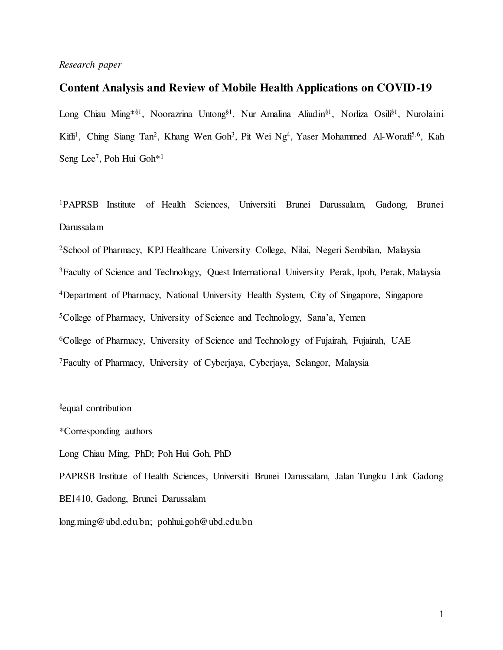## *Research paper*

## **Content Analysis and Review of Mobile Health Applications on COVID-19**

Long Chiau Ming\*§1, Noorazrina Untong§1, Nur Amalina Aliudin§1, Norliza Osili§1, Nurolaini Kifli<sup>1</sup>, Ching Siang Tan<sup>2</sup>, Khang Wen Goh<sup>3</sup>, Pit Wei Ng<sup>4</sup>, Yaser Mohammed Al-Worafi<sup>5,6</sup>, Kah Seng Lee<sup>7</sup>, Poh Hui Goh<sup>\*1</sup>

<sup>1</sup>PAPRSB Institute of Health Sciences, Universiti Brunei Darussalam, Gadong, Brunei Darussalam

<sup>2</sup>School of Pharmacy, KPJ Healthcare University College, Nilai, Negeri Sembilan, Malaysia <sup>3</sup>Faculty of Science and Technology, Quest International University Perak, Ipoh, Perak, Malaysia Department of Pharmacy, National University Health System, City of Singapore, Singapore College of Pharmacy, University of Science and Technology, Sana'a, Yemen College of Pharmacy, University of Science and Technology of Fujairah, Fujairah, UAE Faculty of Pharmacy, University of Cyberjaya, Cyberjaya, Selangor, Malaysia

§equal contribution

\*Corresponding authors

Long Chiau Ming, PhD; Poh Hui Goh, PhD

PAPRSB Institute of Health Sciences, Universiti Brunei Darussalam, Jalan Tungku Link Gadong BE1410, Gadong, Brunei Darussalam long.ming@ubd.edu.bn; pohhui.goh@ubd.edu.bn

1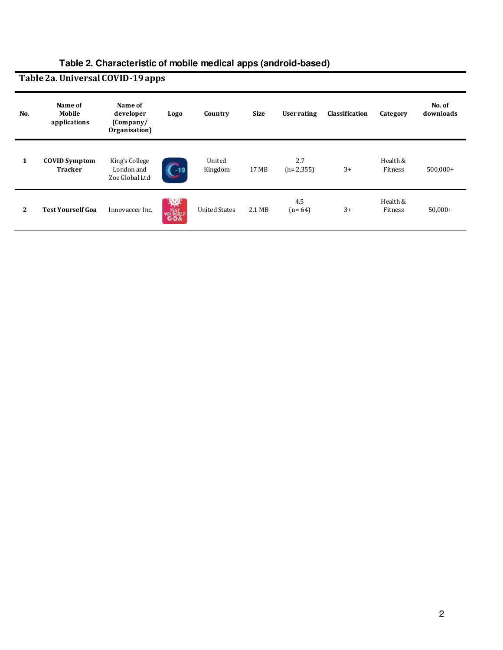## **Table 2a. Universal COVID-19 apps**

| No.                   | Name of<br>Mobile<br>applications      | Name of<br>developer<br>(Comparly/<br>Organisation) | Logo                            | Country              | <b>Size</b> | User rating        | <b>Classification</b> | Category            | No. of<br>downloads |
|-----------------------|----------------------------------------|-----------------------------------------------------|---------------------------------|----------------------|-------------|--------------------|-----------------------|---------------------|---------------------|
| 1                     | <b>COVID Symptom</b><br><b>Tracker</b> | King's College<br>London and<br>Zoe Global Ltd      | $\mathcal{L}^{-19}$             | United<br>Kingdom    | 17 MB       | 2.7<br>$(n=2,355)$ | $3+$                  | Health &<br>Fitness | $500,000+$          |
| $\mathbf{2}^{\prime}$ | <b>Test Yourself Goa</b>               | Innovaccer Inc.                                     | <b>RO</b><br><b>TEST</b><br>COA | <b>United States</b> | 2.1 MB      | 4.5<br>$(n=64)$    | $3+$                  | Health &<br>Fitness | $50,000+$           |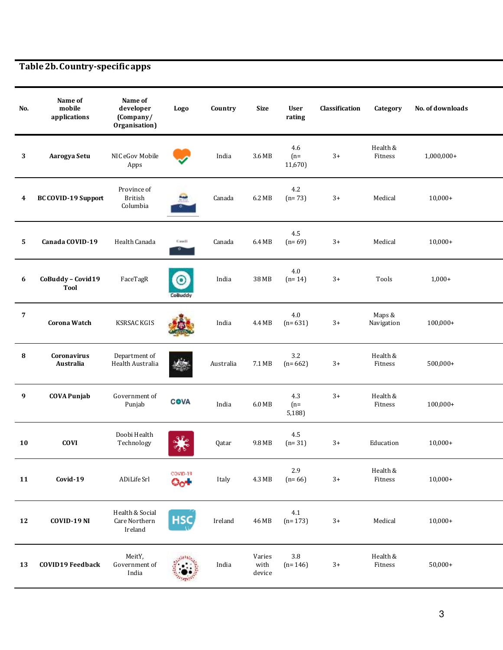**Table 2b. Country-specific apps** 

| No. | Name of<br>mobile<br>applications | Name of<br>developer<br>(Company/<br>Organisation) | Logo               | Country   | <b>Size</b>              | <b>User</b><br>rating   | Classification | Category             | No. of downloads |
|-----|-----------------------------------|----------------------------------------------------|--------------------|-----------|--------------------------|-------------------------|----------------|----------------------|------------------|
| 3   | Aarogya Setu                      | NIC eGov Mobile<br>Apps                            |                    | India     | 3.6 MB                   | 4.6<br>$(n=$<br>11,670) | $3+$           | Health &<br>Fitness  | $1,000,000+$     |
| 4   | <b>BC COVID-19 Support</b>        | Province of<br><b>British</b><br>Columbia          |                    | Canada    | 6.2 MB                   | 4.2<br>$(n=73)$         | $3+$           | Medical              | $10,000+$        |
| 5   | Canada COVID-19                   | Health Canada                                      | Canadi             | Canada    | 6.4 MB                   | 4.5<br>$(n=69)$         | $3+$           | Medical              | $10,000+$        |
| 6   | CoBuddy - Covid19<br><b>Tool</b>  | FaceTagR                                           | $\circ$<br>CoBuddy | India     | 38 MB                    | 4.0<br>$(n=14)$         | $3+$           | Tools                | $1,000+$         |
| 7   | <b>Corona Watch</b>               | <b>KSRSAC KGIS</b>                                 |                    | India     | 4.4 MB                   | 4.0<br>$(n=631)$        | $3+$           | Maps &<br>Navigation | $100,000+$       |
| 8   | <b>Coronavirus</b><br>Australia   | Department of<br>Health Australia                  |                    | Australia | 7.1 MB                   | 3.2<br>$(n=662)$        | $3+$           | Health &<br>Fitness  | $500,000+$       |
| 9   | <b>COVA Punjab</b>                | Government of<br>Punjab                            | <b>COVA</b>        | India     | 6.0 MB                   | 4.3<br>$(n=$<br>5,188)  | $3+$           | Health &<br>Fitness  | $100,000+$       |
| 10  | <b>COVI</b>                       | Doobi Health<br>Technology                         |                    | Qatar     | 9.8 MB                   | 4.5<br>$(n=31)$         | $3+$           | Education            | $10,000+$        |
| 11  | Covid-19                          | ADiLife Srl                                        | COVID-19<br>001    | Italy     | 4.3 MB                   | 2.9<br>$(n=66)$         | $3+$           | Health &<br>Fitness  | $10,000+$        |
| 12  | COVID-19 NI                       | Health & Social<br>Care Northern<br>Ireland        | НSС                | Ireland   | 46 MB                    | $4.1\,$<br>$(n=173)$    | $3+$           | Medical              | $10,000+$        |
| 13  | <b>COVID19 Feedback</b>           | MeitY,<br>Government of<br>India                   |                    | India     | Varies<br>with<br>device | $3.8\,$<br>$(n=146)$    | $3+$           | Health &<br>Fitness  | $50,000+$        |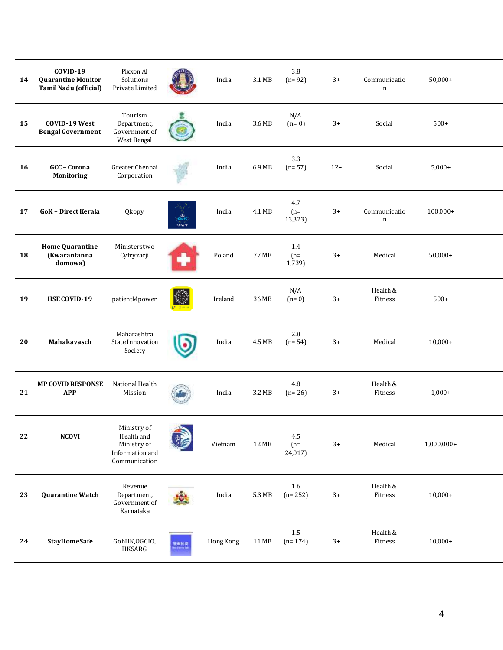| 14       | COVID-19<br><b>Quarantine Monitor</b><br><b>Tamil Nadu (official)</b> | Pixxon Al<br>Solutions<br>Private Limited                                    |                              | India     | 3.1 MB | 3.8<br>$(n=92)$         | $3+$  | Communicatio<br>$\mathbf n$ | $50,000+$    |
|----------|-----------------------------------------------------------------------|------------------------------------------------------------------------------|------------------------------|-----------|--------|-------------------------|-------|-----------------------------|--------------|
| 15       | COVID-19 West<br><b>Bengal Government</b>                             | Tourism<br>Department,<br>Government of<br>West Bengal                       |                              | India     | 3.6 MB | N/A<br>$(n=0)$          | $3+$  | Social                      | $500+$       |
| 16       | GCC-Corona<br><b>Monitoring</b>                                       | Greater Chennai<br>Corporation                                               |                              | India     | 6.9 MB | 3.3<br>$(n=57)$         | $12+$ | Social                      | $5,000+$     |
| 17       | <b>GoK - Direct Kerala</b>                                            | Qkopy                                                                        | $rac{1}{\text{GeV}}$<br>Sec. | India     | 4.1 MB | 4.7<br>$(n=$<br>13,323) | $3+$  | Communicatio<br>n           | $100,000+$   |
| 18       | <b>Home Quarantine</b><br>(Kwarantanna<br>domowa)                     | Ministerstwo<br>Cyfryzacji                                                   |                              | Poland    | 77 MB  | 1.4<br>$(n=$<br>1,739)  | $3+$  | Medical                     | $50,000+$    |
| 19       | HSE COVID-19                                                          | patientMpower                                                                |                              | Ireland   | 36 MB  | N/A<br>$(n=0)$          | $3+$  | Health &<br>Fitness         | $500+$       |
| 20       | Mahakavasch                                                           | Maharashtra<br><b>State Innovation</b><br>Society                            |                              | India     | 4.5 MB | 2.8<br>$(n=54)$         | $3+$  | Medical                     | $10,000+$    |
| 21       | <b>MP COVID RESPONSE</b><br><b>APP</b>                                | National Health<br>Mission                                                   |                              | India     | 3.2 MB | 4.8<br>$(n=26)$         | $3+$  | Health &<br>Fitness         | $1,000+$     |
| $\bf 22$ | <b>NCOVI</b>                                                          | Ministry of<br>Health and<br>Ministry of<br>Information and<br>Communication |                              | Vietnam   | 12 MB  | 4.5<br>$(n=$<br>24,017) | $3+$  | Medical                     | $1,000,000+$ |
| 23       | <b>Quarantine Watch</b>                                               | Revenue<br>Department,<br>Government of<br>Karnataka                         |                              | India     | 5.3 MB | 1.6<br>$(n=252)$        | $3+$  | Health &<br>Fitness         | $10,000+$    |
| 24       | <b>StayHomeSafe</b>                                                   | GohHK,OGCIO,<br>HKSARG                                                       |                              | Hong Kong | 11 MB  | 1.5<br>$(n=174)$        | $3+$  | Health &<br>Fitness         | $10,000+$    |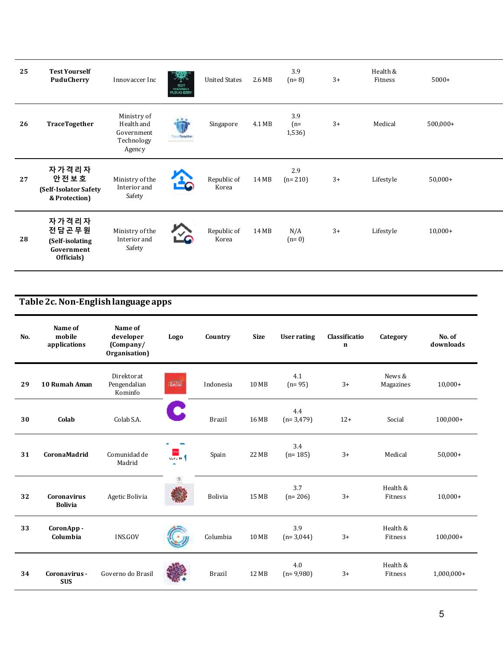| 25 | <b>Test Yourself</b><br><b>PuduCherry</b>                     | Innovaccer Inc                                                  | $\frac{1257}{10300000}$<br><b>NUDUCED RESTY</b> | <b>United States</b> | 2.6 MB | 3.9<br>$(n=8)$         | $3+$ | Health &<br>Fitness | $5000+$    |  |
|----|---------------------------------------------------------------|-----------------------------------------------------------------|-------------------------------------------------|----------------------|--------|------------------------|------|---------------------|------------|--|
| 26 | <b>TraceTogether</b>                                          | Ministry of<br>Health and<br>Government<br>Technology<br>Agency | Troch Together                                  | Singapore            | 4.1 MB | 3.9<br>$(n=$<br>1,536) | $3+$ | Medical             | $500,000+$ |  |
| 27 | 자가격리자<br>안전보호<br>(Self-Isolator Safety<br>& Protection)       | Ministry of the<br>Interior and<br>Safety                       |                                                 | Republic of<br>Korea | 14 MB  | 2.9<br>$(n=210)$       | $3+$ | Lifestyle           | $50,000+$  |  |
| 28 | 자가격리자<br>전담곤무원<br>(Self-isolating<br>Government<br>Officials) | Ministry of the<br>Interior and<br>Safety                       | ζV,                                             | Republic of<br>Korea | 14 MB  | N/A<br>$(n=0)$         | $3+$ | Lifestyle           | $10,000+$  |  |

## **Table 2c. Non-English language apps**

| No. | Name of<br>mobile<br>applications    | Name of<br>developer<br>(Company/<br>Organisation) | Logo                   | Country        | <b>Size</b> | <b>User rating</b> | Classificatio<br>$\mathbf n$ | Category            | No. of<br>downloads |
|-----|--------------------------------------|----------------------------------------------------|------------------------|----------------|-------------|--------------------|------------------------------|---------------------|---------------------|
| 29  | 10 Rumah Aman                        | <b>Direktorat</b><br>Pengendalian<br>Kominfo       | <b>SHAN</b>            | Indonesia      | 10 MB       | 4.1<br>$(n=95)$    | $3+$                         | News &<br>Magazines | $10,000+$           |
| 30  | Colab                                | Colab S.A.                                         | C                      | <b>Brazil</b>  | 16 MB       | 4.4<br>$(n=3,479)$ | $12+$                        | Social              | $100,000+$          |
| 31  | CoronaMadrid                         | Comunidad de<br>Madrid                             | <b>STAR</b><br>CCA2 19 | Spain          | 22 MB       | 3.4<br>$(n=185)$   | $3+$                         | Medical             | $50,000+$           |
| 32  | <b>Coronavirus</b><br><b>Bolivia</b> | Agetic Bolivia                                     | 卑                      | <b>Bolivia</b> | 15 MB       | 3.7<br>$(n=206)$   | $3+$                         | Health &<br>Fitness | $10,000+$           |
| 33  | CoronApp-<br>Columbia                | INS.GOV                                            |                        | Columbia       | 10 MB       | 3.9<br>$(n=3,044)$ | $3+$                         | Health &<br>Fitness | $100,000+$          |
| 34  | Coronavirus -<br><b>SUS</b>          | Governo do Brasil                                  |                        | <b>Brazil</b>  | 12 MB       | 4.0<br>$(n=9,980)$ | $3+$                         | Health &<br>Fitness | $1,000,000+$        |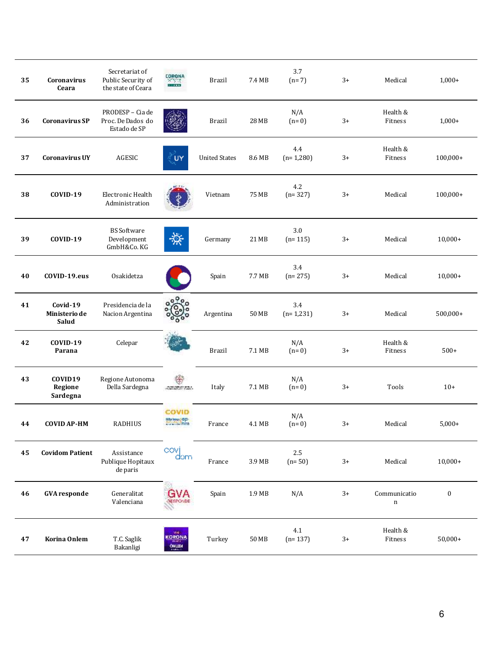| 35 | <b>Coronavirus</b><br>Ceara        | Secretariat of<br>Public Security of<br>the state of Ceara | <b>CORONA</b><br>$\frac{2}{\pi}$                                                                                                                                                                                                          | <b>Brazil</b>        | 7.4 MB | 3.7<br>$(n=7)$     | $3+$ | Medical                     | $1,000+$   |
|----|------------------------------------|------------------------------------------------------------|-------------------------------------------------------------------------------------------------------------------------------------------------------------------------------------------------------------------------------------------|----------------------|--------|--------------------|------|-----------------------------|------------|
| 36 | <b>Coronavirus SP</b>              | PRODESP - Cia de<br>Proc. De Dados do<br>Estado de SP      |                                                                                                                                                                                                                                           | <b>Brazil</b>        | 28 MB  | N/A<br>$(n=0)$     | $3+$ | Health &<br>Fitness         | $1,000+$   |
| 37 | <b>Coronavirus UY</b>              | AGESIC                                                     | ΪUΥ                                                                                                                                                                                                                                       | <b>United States</b> | 8.6 MB | 4.4<br>$(n=1,280)$ | $3+$ | Health &<br>Fitness         | $100,000+$ |
| 38 | COVID-19                           | Electronic Health<br>Administration                        |                                                                                                                                                                                                                                           | Vietnam              | 75 MB  | 4.2<br>$(n=327)$   | $3+$ | Medical                     | $100,000+$ |
| 39 | COVID-19                           | <b>BS</b> Software<br>Development<br>GmbH&Co.KG            | ₩                                                                                                                                                                                                                                         | Germany              | 21 MB  | 3.0<br>$(n=115)$   | $3+$ | Medical                     | $10,000+$  |
| 40 | COVID-19.eus                       | Osakidetza                                                 |                                                                                                                                                                                                                                           | Spain                | 7.7 MB | 3.4<br>$(n=275)$   | $3+$ | Medical                     | $10,000+$  |
| 41 | Covid-19<br>Ministerio de<br>Salud | Presidencia de la<br>Nacion Argentina                      | 0 <sup>0</sup><br><u>%)</u>                                                                                                                                                                                                               | Argentina            | 50 MB  | 3.4<br>$(n=1,231)$ | $3+$ | Medical                     | $500,000+$ |
| 42 | COVID-19<br>Parana                 | Celepar                                                    |                                                                                                                                                                                                                                           | <b>Brazil</b>        | 7.1 MB | N/A<br>$(n=0)$     | $3+$ | Health &<br>Fitness         | $500+$     |
| 43 | COVID19<br>Regione<br>Sardegna     | Regione Autonoma<br>Della Sardegna                         | ₩<br><b>The Maria Product of Contract of Contract Contract Contract Contract Contract Contract Contract Contract Contract Contract Contract Contract Contract Contract Contract Contract Contract Contract Contract Contract Contract</b> | Italy                | 7.1 MB | N/A<br>$(n=0)$     | $3+$ | Tools                       | $10+$      |
| 44 | <b>COVID AP-HM</b>                 | <b>RADHIUS</b>                                             | COVID<br><b>Barbas dp</b>                                                                                                                                                                                                                 | France               | 4.1 MB | N/A<br>$(n=0)$     | $3+$ | Medical                     | $5,000+$   |
| 45 | <b>Covidom Patient</b>             | Assistance<br>Publique Hopitaux<br>de paris                | covi<br>dom                                                                                                                                                                                                                               | France               | 3.9 MB | 2.5<br>$(n=50)$    | $3+$ | Medical                     | $10,000+$  |
| 46 | <b>GVA</b> responde                | Generalitat<br>Valenciana                                  | GVA<br>BESPONDE                                                                                                                                                                                                                           | Spain                | 1.9 MB | N/A                | $3+$ | Communicatio<br>$\mathbf n$ | $\pmb{0}$  |
| 47 | Korina Onlem                       | T.C. Saglik<br>Bakanligi                                   | well.<br>KORONA<br><b>ONLEW</b>                                                                                                                                                                                                           | Turkey               | 50 MB  | 4.1<br>$(n=137)$   | $3+$ | Health &<br>Fitness         | $50,000+$  |